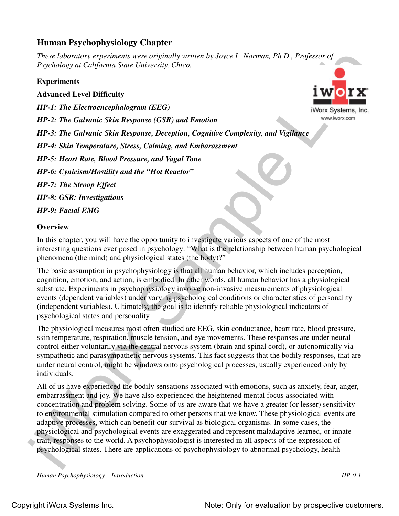## **Human Psychophysiology Chapter**

*These laboratory experiments were originally written by Joyce L. Norman, Ph.D., Professor of Psychology at California State University, Chico.*

## **Experiments**

## **Advanced Level Difficulty**

*HP-1: The Electroencephalogram (EEG)*

*HP-2: The Galvanic Skin Response (GSR) and Emotion*

*HP-3: The Galvanic Skin Response, Deception, Cognitive Complexity, and Vigilance*

*HP-4: Skin Temperature, Stress, Calming, and Embarassment*

*HP-5: Heart Rate, Blood Pressure, and Vagal Tone*

*HP-6: Cynicism/Hostility and the "Hot Reactor"*

*HP-7: The Stroop Effect* 

*HP-8: GSR: Investigations*

*HP-9: Facial EMG*

## **Overview**

In this chapter, you will have the opportunity to investigate various aspects of one of the most interesting questions ever posed in psychology: "What is the relationship between human psychological phenomena (the mind) and physiological states (the body)?"

The basic assumption in psychophysiology is that all human behavior, which includes perception, cognition, emotion, and action, is embodied. In other words, all human behavior has a physiological substrate. Experiments in psychophysiology involve non-invasive measurements of physiological events (dependent variables) under varying psychological conditions or characteristics of personality (independent variables). Ultimately, the goal is to identify reliable physiological indicators of psychological states and personality.

The physiological measures most often studied are EEG, skin conductance, heart rate, blood pressure, skin temperature, respiration, muscle tension, and eye movements. These responses are under neural control either voluntarily via the central nervous system (brain and spinal cord), or autonomically via sympathetic and parasympathetic nervous systems. This fact suggests that the bodily responses, that are under neural control, might be windows onto psychological processes, usually experienced only by individuals.

These indiversions configuration of the control of the strainer in the strainer of  $\mathbb{R}$ . Professor of  $\mathbb{R}$  and  $\mathbb{R}$  and  $\mathbb{R}$  and  $\mathbb{R}$  and  $\mathbb{R}$  and  $\mathbb{R}$  and  $\mathbb{R}$  and  $\mathbb{R}$  and  $\mathbb{R}$  an All of us have experienced the bodily sensations associated with emotions, such as anxiety, fear, anger, embarrassment and joy. We have also experienced the heightened mental focus associated with concentration and problem solving. Some of us are aware that we have a greater (or lesser) sensitivity to environmental stimulation compared to other persons that we know. These physiological events are adaptive processes, which can benefit our survival as biological organisms. In some cases, the physiological and psychological events are exaggerated and represent maladaptive learned, or innate trait, responses to the world. A psychophysiologist is interested in all aspects of the expression of psychological states. There are applications of psychophysiology to abnormal psychology, health

*Human Psychophysiology – Introduction HP-0-1*